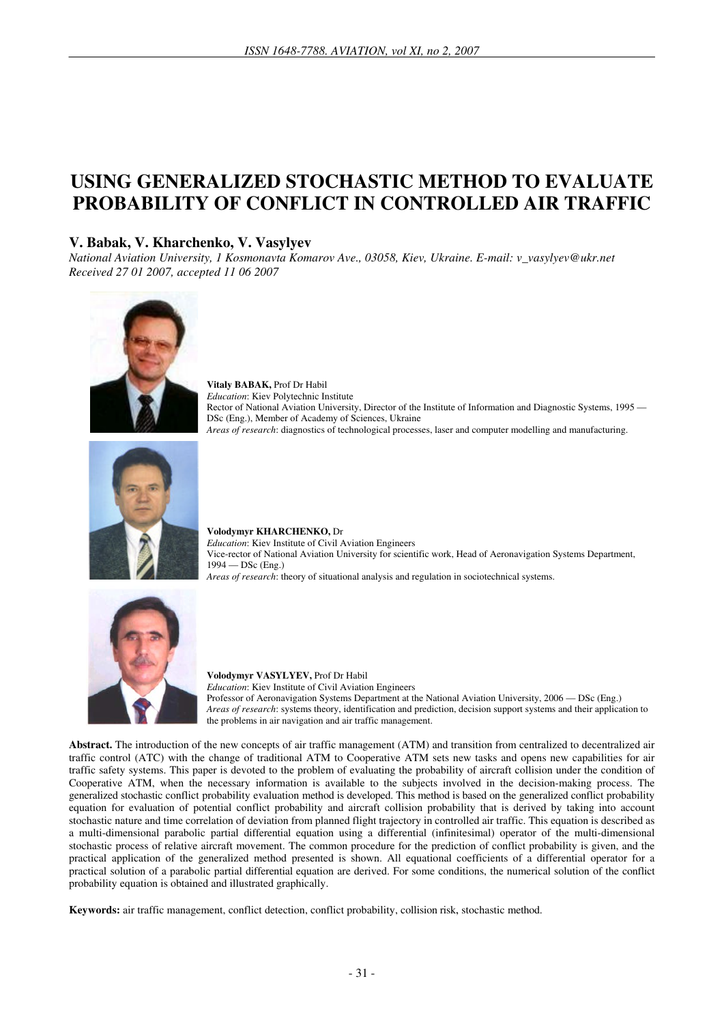# **USING GENERALIZED STOCHASTIC METHOD TO EVALUATE PROBABILITY OF CONFLICT IN CONTROLLED AIR TRAFFIC**

# **V. Babak, V. Kharchenko, V. Vasylyev**

*National Aviation University, 1 Kosmonavta Komarov Ave., 03058, Kiev, Ukraine. E-mail: v\_vasylyev@ukr.net Received 27 01 2007, accepted 11 06 2007* 



**Vitaly BABAK,** Prof Dr Habil *Education*: Kiev Polytechnic Institute Rector of National Aviation University, Director of the Institute of Information and Diagnostic Systems, 1995 — DSc (Eng.), Member of Academy of Sciences, Ukraine *Areas of research*: diagnostics of technological processes, laser and computer modelling and manufacturing.



**Volodymyr KHARCHENKO,** Dr *Education*: Kiev Institute of Civil Aviation Engineers Vice-rector of National Aviation University for scientific work, Head of Aeronavigation Systems Department, 1994 — DSc (Eng.) *Areas of research*: theory of situational analysis and regulation in sociotechnical systems.



**Volodymyr VASYLYEV,** Prof Dr Habil *Education*: Kiev Institute of Civil Aviation Engineers Professor of Aeronavigation Systems Department at the National Aviation University, 2006 — DSc (Eng.) *Areas of research*: systems theory, identification and prediction, decision support systems and their application to the problems in air navigation and air traffic management.

**Abstract.** The introduction of the new concepts of air traffic management (ATM) and transition from centralized to decentralized air traffic control (ATC) with the change of traditional ATM to Cooperative ATM sets new tasks and opens new capabilities for air traffic safety systems. This paper is devoted to the problem of evaluating the probability of aircraft collision under the condition of Cooperative ATM, when the necessary information is available to the subjects involved in the decision-making process. The generalized stochastic conflict probability evaluation method is developed. This method is based on the generalized conflict probability equation for evaluation of potential conflict probability and aircraft collision probability that is derived by taking into account stochastic nature and time correlation of deviation from planned flight trajectory in controlled air traffic. This equation is described as a multi-dimensional parabolic partial differential equation using a differential (infinitesimal) operator of the multi-dimensional stochastic process of relative aircraft movement. The common procedure for the prediction of conflict probability is given, and the practical application of the generalized method presented is shown. All equational coefficients of a differential operator for a practical solution of a parabolic partial differential equation are derived. For some conditions, the numerical solution of the conflict probability equation is obtained and illustrated graphically.

**Keywords:** air traffic management, conflict detection, conflict probability, collision risk, stochastic method.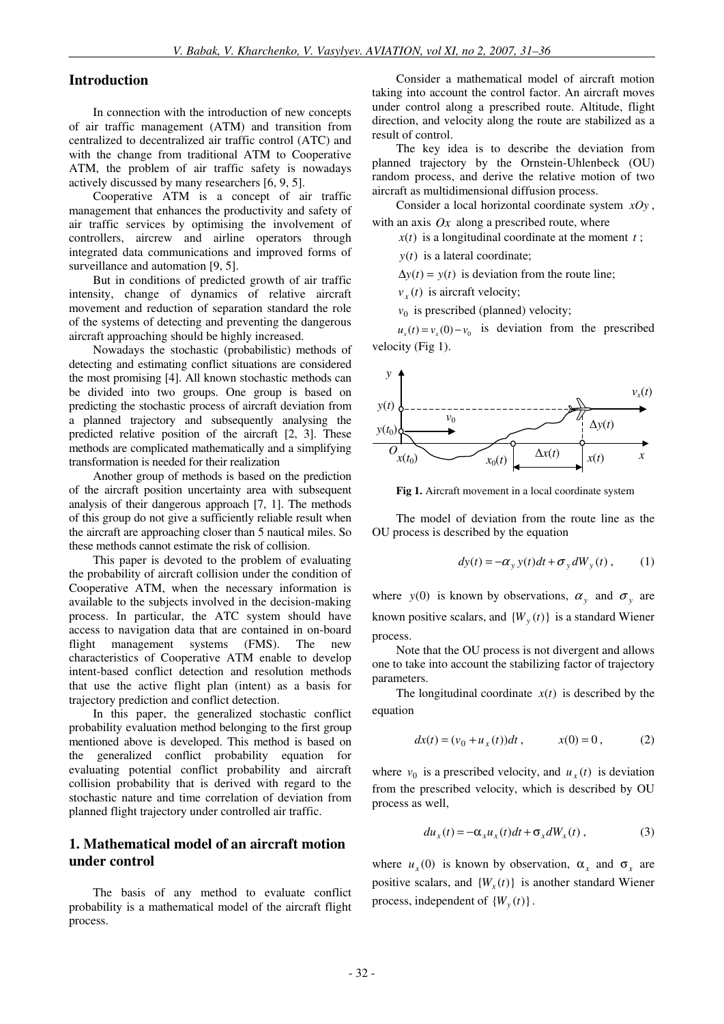### **Introduction**

In connection with the introduction of new concepts of air traffic management (ATM) and transition from centralized to decentralized air traffic control (ATC) and with the change from traditional ATM to Cooperative ATM, the problem of air traffic safety is nowadays actively discussed by many researchers [6, 9, 5].

Cooperative ATM is a concept of air traffic management that enhances the productivity and safety of air traffic services by optimising the involvement of controllers, aircrew and airline operators through integrated data communications and improved forms of surveillance and automation [9, 5].

But in conditions of predicted growth of air traffic intensity, change of dynamics of relative aircraft movement and reduction of separation standard the role of the systems of detecting and preventing the dangerous aircraft approaching should be highly increased.

Nowadays the stochastic (probabilistic) methods of detecting and estimating conflict situations are considered the most promising [4]. All known stochastic methods can be divided into two groups. One group is based on predicting the stochastic process of aircraft deviation from a planned trajectory and subsequently analysing the predicted relative position of the aircraft [2, 3]. These methods are complicated mathematically and a simplifying transformation is needed for their realization

Another group of methods is based on the prediction of the aircraft position uncertainty area with subsequent analysis of their dangerous approach [7, 1]. The methods of this group do not give a sufficiently reliable result when the aircraft are approaching closer than 5 nautical miles. So these methods cannot estimate the risk of collision.

This paper is devoted to the problem of evaluating the probability of aircraft collision under the condition of Cooperative ATM, when the necessary information is available to the subjects involved in the decision-making process. In particular, the ATC system should have access to navigation data that are contained in on-board flight management systems (FMS). The new characteristics of Cooperative ATM enable to develop intent-based conflict detection and resolution methods that use the active flight plan (intent) as a basis for trajectory prediction and conflict detection.

In this paper, the generalized stochastic conflict probability evaluation method belonging to the first group mentioned above is developed. This method is based on the generalized conflict probability equation for evaluating potential conflict probability and aircraft collision probability that is derived with regard to the stochastic nature and time correlation of deviation from planned flight trajectory under controlled air traffic.

## **1. Mathematical model of an aircraft motion under control**

The basis of any method to evaluate conflict probability is a mathematical model of the aircraft flight process.

Consider a mathematical model of aircraft motion taking into account the control factor. An aircraft moves under control along a prescribed route. Altitude, flight direction, and velocity along the route are stabilized as a result of control.

The key idea is to describe the deviation from planned trajectory by the Ornstein-Uhlenbeck (OU) random process, and derive the relative motion of two aircraft as multidimensional diffusion process.

Consider a local horizontal coordinate system *xOy* , with an axis  $Q_x$  along a prescribed route, where

 $x(t)$  is a longitudinal coordinate at the moment  $t$ ;

*y*(*t*) is a lateral coordinate;

 $\Delta y(t) = y(t)$  is deviation from the route line;

 $v_x(t)$  is aircraft velocity;

 $v_0$  is prescribed (planned) velocity;

 $u_x(t) = v_x(0) - v_0$  is deviation from the prescribed velocity (Fig 1).



**Fig 1.** Aircraft movement in a local coordinate system

The model of deviation from the route line as the OU process is described by the equation

$$
dy(t) = -\alpha_y y(t)dt + \sigma_y dW_y(t) , \qquad (1)
$$

where *y*(0) is known by observations,  $\alpha_y$  and  $\sigma_y$  are known positive scalars, and  ${W_y(t)}$  is a standard Wiener process.

Note that the OU process is not divergent and allows one to take into account the stabilizing factor of trajectory parameters.

The longitudinal coordinate  $x(t)$  is described by the equation

$$
dx(t) = (v_0 + u_x(t))dt, \t x(0) = 0, \t (2)
$$

where  $v_0$  is a prescribed velocity, and  $u_x(t)$  is deviation from the prescribed velocity, which is described by OU process as well,

$$
du_x(t) = -\alpha_x u_x(t)dt + \sigma_x dW_x(t) , \qquad (3)
$$

where  $u_x(0)$  is known by observation,  $\alpha_x$  and  $\sigma_x$  are positive scalars, and  ${W_x(t)}$  is another standard Wiener process, independent of  ${W_y(t)}$ .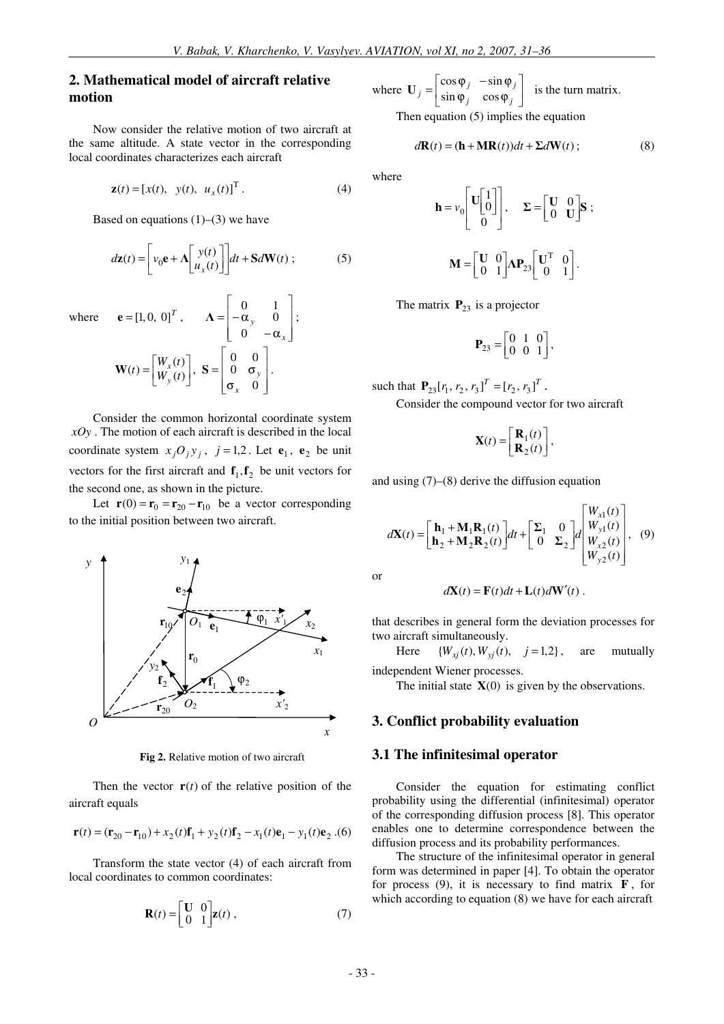## **2. Mathematical model of aircraft relative motion**

Now consider the relative motion of two aircraft at the same altitude. A state vector in the corresponding local coordinates characterizes each aircraft

$$
\mathbf{z}(t) = [x(t), y(t), u_x(t)]^{\mathrm{T}}.
$$
 (4)

Based on equations  $(1)$ – $(3)$  we have

$$
d\mathbf{z}(t) = \left[ v_0 \mathbf{e} + \Lambda \left[ \begin{array}{c} y(t) \\ u_x(t) \end{array} \right] \right] dt + \mathbf{S} d\mathbf{W}(t) ; \tag{5}
$$

  $\overline{\phantom{a}}$  $\overline{\phantom{a}}$ 

*x*

− α

  $\overline{\phantom{a}}$  $\overline{\phantom{a}}$ 

٦

0

1

where  $\mathbf{e} = [1, 0, 0]^T$ ,  $\overline{\phantom{a}}$  $\mathbf{r}$ L Г  $=$   $\alpha$ *y*  $\boldsymbol{0}$  $\Lambda = \begin{vmatrix} 0 & 1 \\ -\alpha_v & 0 \end{vmatrix};$  $\overline{\phantom{a}}$ ٦ L  $=\begin{bmatrix} W_x(t) \\ W_y(t) \end{bmatrix}$  $\mathbf{W}(t) = \begin{vmatrix} W_x(t) \\ W_y(t) \end{vmatrix}$ ,  $\overline{\phantom{a}}$  $\mathbb{I}$ L Γ σ  $= 0$  σ  $\boldsymbol{0}$  $\boldsymbol{0}$ 0 0 *x*  $S = \begin{vmatrix} 0 & \sigma_y \end{vmatrix}$ .

Consider the common horizontal coordinate system *xOy* . The motion of each aircraft is described in the local coordinate system  $x_j O_j y_j$ ,  $j = 1, 2$ . Let  $e_1$ ,  $e_2$  be unit vectors for the first aircraft and  $f_1, f_2$  be unit vectors for the second one, as shown in the picture.

Let  $\mathbf{r}(0) = \mathbf{r}_0 = \mathbf{r}_{20} - \mathbf{r}_{10}$  be a vector corresponding to the initial position between two aircraft.



**Fig 2.** Relative motion of two aircraft

Then the vector  $\mathbf{r}(t)$  of the relative position of the aircraft equals

$$
\mathbf{r}(t) = (\mathbf{r}_{20} - \mathbf{r}_{10}) + x_2(t)\mathbf{f}_1 + y_2(t)\mathbf{f}_2 - x_1(t)\mathbf{e}_1 - y_1(t)\mathbf{e}_2
$$
.(6)

Transform the state vector (4) of each aircraft from local coordinates to common coordinates:

$$
\mathbf{R}(t) = \begin{bmatrix} \mathbf{U} & 0 \\ 0 & 1 \end{bmatrix} \mathbf{z}(t) , \qquad (7)
$$

where  $\mathbf{U}_j = \begin{bmatrix} 1 & 1 & 1 \\ \sin \phi_j & \cos \phi_j \end{bmatrix}$ 1  $\overline{\mathsf{L}}$ Г  $\varphi_i$  cos  $\varphi$  $=\begin{vmatrix} \cos \varphi_j & -\sin \varphi \\ \sin \varphi_j & \cos \varphi_j \end{vmatrix}$  $j = \begin{vmatrix} \cos \varphi_j & -\sin \varphi_j \\ \sin \varphi_j & \cos \varphi_j \end{vmatrix}$  $U_i = \begin{bmatrix} \cos \varphi_i & -\sin \varphi_i \\ \sin \varphi_i & \cos \varphi_i \end{bmatrix}$  is the turn matrix. Then equation (5) implies the equation

$$
d\mathbf{R}(t) = (\mathbf{h} + \mathbf{M}\mathbf{R}(t))dt + \Sigma d\mathbf{W}(t) ;
$$
 (8)

where

$$
\mathbf{h} = v_0 \begin{bmatrix} \mathbf{U} \begin{bmatrix} 1 \\ 0 \end{bmatrix} \end{bmatrix}, \quad \Sigma = \begin{bmatrix} \mathbf{U} & 0 \\ 0 & \mathbf{U} \end{bmatrix} \mathbf{S} ;
$$

$$
\mathbf{M} = \begin{bmatrix} \mathbf{U} & 0 \\ 0 & 1 \end{bmatrix} \mathbf{\Lambda} \mathbf{P}_{23} \begin{bmatrix} \mathbf{U}^{\mathrm{T}} & 0 \\ 0 & 1 \end{bmatrix} .
$$

The matrix  $P_{23}$  is a projector

$$
\mathbf{P}_{23} = \begin{bmatrix} 0 & 1 & 0 \\ 0 & 0 & 1 \end{bmatrix},
$$

such that  $P_{23}[r_1, r_2, r_3]^T = [r_2, r_3]^T$ .

Consider the compound vector for two aircraft

$$
\mathbf{X}(t) = \begin{bmatrix} \mathbf{R}_1(t) \\ \mathbf{R}_2(t) \end{bmatrix},
$$

and using (7)–(8) derive the diffusion equation

$$
d\mathbf{X}(t) = \begin{bmatrix} \mathbf{h}_1 + \mathbf{M}_1 \mathbf{R}_1(t) \\ \mathbf{h}_2 + \mathbf{M}_2 \mathbf{R}_2(t) \end{bmatrix} dt + \begin{bmatrix} \Sigma_1 & 0 \\ 0 & \Sigma_2 \end{bmatrix} d \begin{bmatrix} W_{x1}(t) \\ W_{y1}(t) \\ W_{x2}(t) \\ W_{y2}(t) \end{bmatrix}, \quad (9)
$$

or

$$
d\mathbf{X}(t) = \mathbf{F}(t)dt + \mathbf{L}(t)d\mathbf{W}'(t).
$$

that describes in general form the deviation processes for two aircraft simultaneously.

Here  ${W_{xi}(t), W_{yi}(t), j=1,2},$  are mutually independent Wiener processes.

The initial state  $X(0)$  is given by the observations.

## **3. Conflict probability evaluation**

## **3.1 The infinitesimal operator**

Consider the equation for estimating conflict probability using the differential (infinitesimal) operator of the corresponding diffusion process [8]. This operator enables one to determine correspondence between the diffusion process and its probability performances.

The structure of the infinitesimal operator in general form was determined in paper [4]. To obtain the operator for process  $(9)$ , it is necessary to find matrix **F**, for which according to equation (8) we have for each aircraft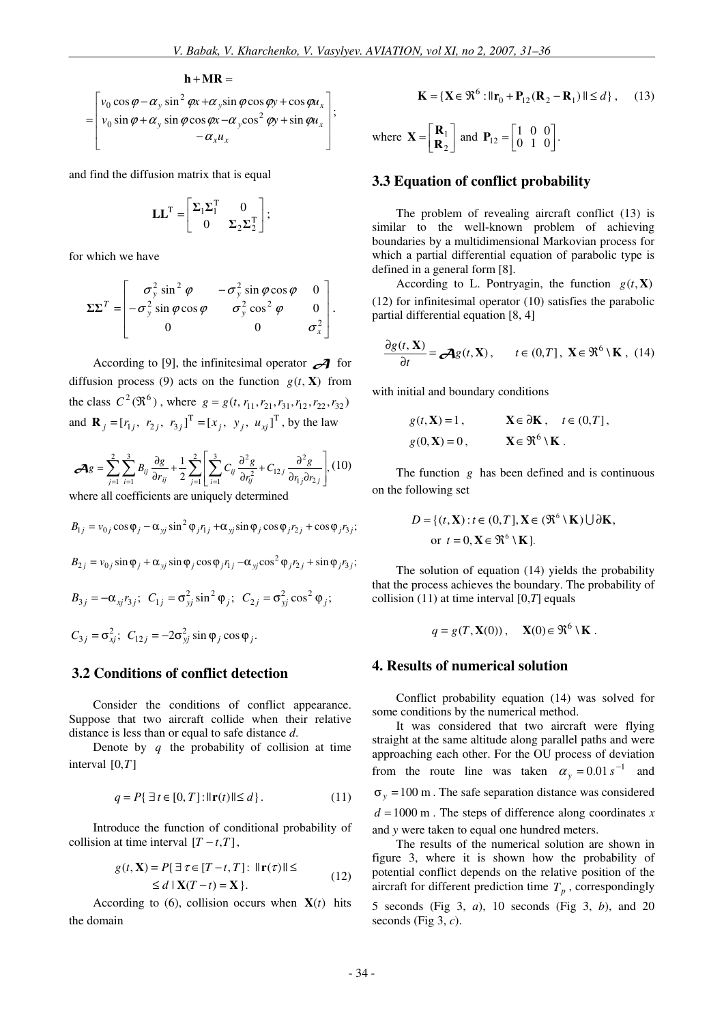$$
\mathbf{h} + \mathbf{M}\mathbf{R} =
$$
\n
$$
= \begin{bmatrix} v_0 \cos \varphi - \alpha_y \sin^2 \varphi x + \alpha_y \sin \varphi \cos \varphi y + \cos \varphi u_x \\ v_0 \sin \varphi + \alpha_y \sin \varphi \cos \varphi x - \alpha_y \cos^2 \varphi y + \sin \varphi u_x \\ -\alpha_x u_x \end{bmatrix};
$$

and find the diffusion matrix that is equal

$$
\mathbf{L}\mathbf{L}^{\mathrm{T}} = \begin{bmatrix} \boldsymbol{\Sigma}_1 \boldsymbol{\Sigma}_1^{\mathrm{T}} & 0 \\ 0 & \boldsymbol{\Sigma}_2 \boldsymbol{\Sigma}_2^{\mathrm{T}} \end{bmatrix};
$$

for which we have

$$
\Sigma\Sigma^{T} = \begin{bmatrix} \sigma_{y}^{2} \sin^{2} \varphi & -\sigma_{y}^{2} \sin \varphi \cos \varphi & 0 \\ -\sigma_{y}^{2} \sin \varphi \cos \varphi & \sigma_{y}^{2} \cos^{2} \varphi & 0 \\ 0 & 0 & \sigma_{x}^{2} \end{bmatrix}.
$$

According to [9], the infinitesimal operator  $\mathcal{A}$  for diffusion process (9) acts on the function  $g(t, X)$  from the class  $C^2(\Re^6)$ , where  $g = g(t, r_{11}, r_{21}, r_{31}, r_{12}, r_{22}, r_{32})$ and  $\mathbf{R}_j = [r_{1j}, r_{2j}, r_{3j}]^T = [x_j, y_j, u_{xj}]^T$ , by the law

$$
\mathcal{A}g = \sum_{j=1}^{2} \sum_{i=1}^{3} B_{ij} \frac{\partial g}{\partial r_{ij}} + \frac{1}{2} \sum_{j=1}^{2} \left[ \sum_{i=1}^{3} C_{ij} \frac{\partial^2 g}{\partial r_{ij}^2} + C_{12j} \frac{\partial^2 g}{\partial r_{1j} \partial r_{2j}} \right], (10)
$$

where all coefficients are uniquely determined

$$
B_{1j} = v_{0j} \cos \varphi_j - \alpha_{yj} \sin^2 \varphi_j r_{1j} + \alpha_{yj} \sin \varphi_j \cos \varphi_j r_{2j} + \cos \varphi_j r_{3j};
$$

$$
B_{2j} = v_{0j} \sin \varphi_j + \alpha_{yj} \sin \varphi_j \cos \varphi_j r_{1j} - \alpha_{yj} \cos^2 \varphi_j r_{2j} + \sin \varphi_j r_{3j};
$$

$$
B_{3j} = -\alpha_{xj} r_{3j}; \quad C_{1j} = \sigma_{yj}^2 \sin^2 \varphi_j; \quad C_{2j} = \sigma_{yj}^2 \cos^2 \varphi_j;
$$
  

$$
C_{3j} = \sigma_{xj}^2; \quad C_{12j} = -2\sigma_{yj}^2 \sin \varphi_j \cos \varphi_j.
$$

#### **3.2 Conditions of conflict detection**

Consider the conditions of conflict appearance. Suppose that two aircraft collide when their relative distance is less than or equal to safe distance *d*.

Denote by *q* the probability of collision at time interval  $[0,T]$ 

$$
q = P\{\exists t \in [0, T] : ||\mathbf{r}(t)|| \le d\}. \tag{11}
$$

Introduce the function of conditional probability of collision at time interval  $[T - t, T]$ ,

$$
g(t, \mathbf{X}) = P\{\exists \tau \in [T - t, T] : ||\mathbf{r}(\tau)|| \le \le d \mid \mathbf{X}(T - t) = \mathbf{X}\}.
$$
\n(12)

According to (6), collision occurs when  $\mathbf{X}(t)$  hits the domain

$$
\mathbf{K} = \{ \mathbf{X} \in \mathfrak{R}^6 : ||\mathbf{r}_0 + \mathbf{P}_{12} (\mathbf{R}_2 - \mathbf{R}_1) || \le d \}, \quad (13)
$$

where 
$$
\mathbf{X} = \begin{bmatrix} \mathbf{R}_1 \\ \mathbf{R}_2 \end{bmatrix}
$$
 and  $\mathbf{P}_{12} = \begin{bmatrix} 1 & 0 & 0 \\ 0 & 1 & 0 \end{bmatrix}$ .

## **3.3 Equation of conflict probability**

The problem of revealing aircraft conflict (13) is similar to the well-known problem of achieving boundaries by a multidimensional Markovian process for which a partial differential equation of parabolic type is defined in a general form [8].

According to L. Pontryagin, the function  $g(t, \mathbf{X})$ (12) for infinitesimal operator (10) satisfies the parabolic partial differential equation [8, 4]

$$
\frac{\partial g(t, \mathbf{X})}{\partial t} = \mathcal{A}g(t, \mathbf{X}), \qquad t \in (0, T], \ \mathbf{X} \in \mathfrak{R}^6 \setminus \mathbf{K}, \ (14)
$$

with initial and boundary conditions

$$
g(t, \mathbf{X}) = 1,
$$
  $\mathbf{X} \in \partial \mathbf{K}, t \in (0, T],$   
 $g(0, \mathbf{X}) = 0,$   $\mathbf{X} \in \mathfrak{R}^6 \setminus \mathbf{K}.$ 

The function *g* has been defined and is continuous on the following set

$$
D = \{ (t, \mathbf{X}) : t \in (0, T], \mathbf{X} \in (\mathfrak{R}^6 \setminus \mathbf{K}) \cup \partial \mathbf{K},
$$
  
or  $t = 0, \mathbf{X} \in \mathfrak{R}^6 \setminus \mathbf{K} \}.$ 

The solution of equation (14) yields the probability that the process achieves the boundary. The probability of collision (11) at time interval [0,*T*] equals

$$
q = g(T, \mathbf{X}(0)), \quad \mathbf{X}(0) \in \mathfrak{R}^6 \setminus \mathbf{K} .
$$

#### **4. Results of numerical solution**

Conflict probability equation (14) was solved for some conditions by the numerical method.

It was considered that two aircraft were flying straight at the same altitude along parallel paths and were approaching each other. For the OU process of deviation from the route line was taken  $\alpha_y = 0.01 s^{-1}$  and  $\sigma_y$  = 100 m. The safe separation distance was considered  $d = 1000$  m. The steps of difference along coordinates x and *y* were taken to equal one hundred meters.

The results of the numerical solution are shown in figure 3, where it is shown how the probability of potential conflict depends on the relative position of the aircraft for different prediction time  $T_p$ , correspondingly

5 seconds (Fig 3, *a*), 10 seconds (Fig 3, *b*), and 20 seconds (Fig 3, *c*).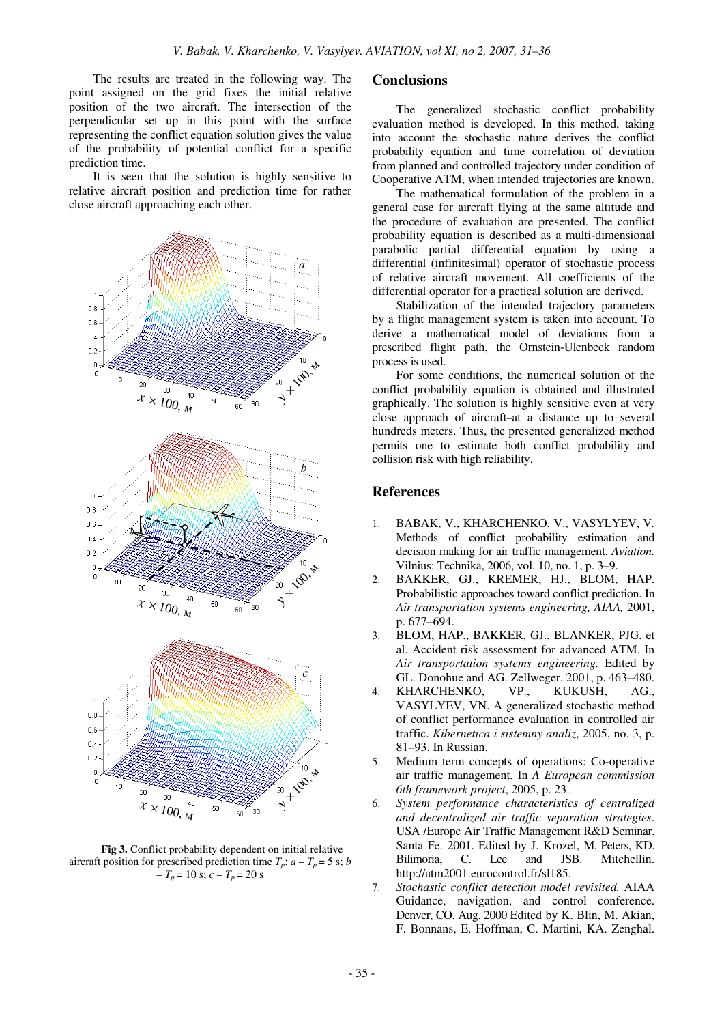The results are treated in the following way. The point assigned on the grid fixes the initial relative position of the two aircraft. The intersection of the perpendicular set up in this point with the surface representing the conflict equation solution gives the value of the probability of potential conflict for a specific prediction time.

It is seen that the solution is highly sensitive to relative aircraft position and prediction time for rather close aircraft approaching each other.



**Fig 3.** Conflict probability dependent on initial relative aircraft position for prescribed prediction time  $T_p$ :  $a - T_p = 5$  s; *b*  $-T_p = 10$  s;  $c - T_p = 20$  s

#### **Conclusions**

The generalized stochastic conflict probability evaluation method is developed. In this method, taking into account the stochastic nature derives the conflict probability equation and time correlation of deviation from planned and controlled trajectory under condition of Cooperative ATM, when intended trajectories are known.

The mathematical formulation of the problem in a general case for aircraft flying at the same altitude and the procedure of evaluation are presented. The conflict probability equation is described as a multi-dimensional parabolic partial differential equation by using a differential (infinitesimal) operator of stochastic process of relative aircraft movement. All coefficients of the differential operator for a practical solution are derived.

Stabilization of the intended trajectory parameters by a flight management system is taken into account. To derive a mathematical model of deviations from a prescribed flight path, the Ornstein-Ulenbeck random process is used.

For some conditions, the numerical solution of the conflict probability equation is obtained and illustrated graphically. The solution is highly sensitive even at very close approach of aircraft−at a distance up to several hundreds meters. Thus, the presented generalized method permits one to estimate both conflict probability and collision risk with high reliability.

### **References**

- 1. BABAK, V., KHARCHENKO, V., VASYLYEV, V*.* Methods of conflict probability estimation and decision making for air traffic management. *Aviation.* Vilnius: Technika, 2006, vol. 10, no. 1, p. 3–9.
- 2. BAKKER, GJ., KREMER, HJ., BLOM, HAP. Probabilistic approaches toward conflict prediction. In *Air transportation systems engineering, AIAA,* 2001, p. 677–694.
- 3. BLOM, HAP., BAKKER, GJ., BLANKER, PJG. et al. Accident risk assessment for advanced ATM. In *Air transportation systems engineering.* Edited by GL. Donohue and AG. Zellweger. 2001, p. 463–480.
- 4. KHARCHENKO, VP., KUKUSH, AG., VASYLYEV, VN. A generalized stochastic method of conflict performance evaluation in controlled air traffic. *Kibernetica i sistemny analiz*, 2005, no. 3, p. 81–93. In Russian.
- 5. Medium term concepts of operations: Co-operative air traffic management. In *A European commission 6th framework project*, 2005, p. 23.
- 6. *System performance characteristics of centralized and decentralized air traffic separation strategies*. USA /Europe Air Traffic Management R&D Seminar, Santa Fe. 2001. Edited by J. Krozel, M. Peters, KD. Bilimoria, C. Lee and JSB. Mitchellin. http://atm2001.eurocontrol.fr/sl185.
- 7. *Stochastic conflict detection model revisited.* AIAA Guidance, navigation, and control conference. Denver, CO. Aug. 2000 Edited by K. Blin, M. Akian, F. Bonnans, E. Hoffman, C. Martini, KA. Zenghal.